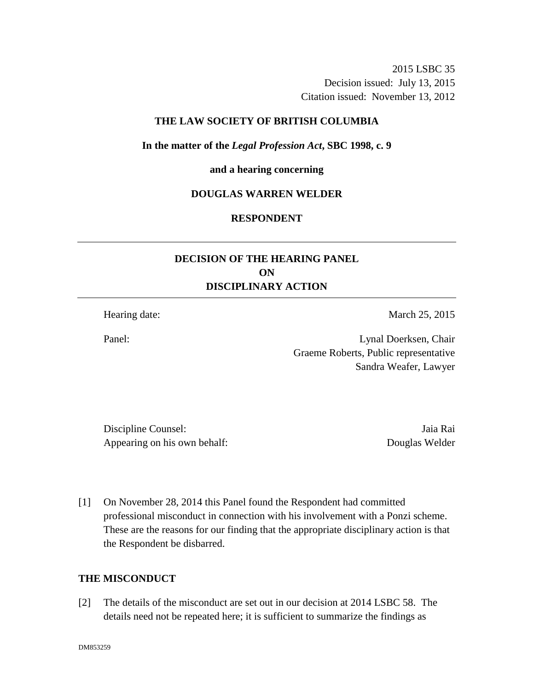2015 LSBC 35 Decision issued: July 13, 2015 Citation issued: November 13, 2012

## **THE LAW SOCIETY OF BRITISH COLUMBIA**

**In the matter of the** *Legal Profession Act***, SBC 1998, c. 9** 

#### **and a hearing concerning**

### **DOUGLAS WARREN WELDER**

# **RESPONDENT**

# **DECISION OF THE HEARING PANEL ON DISCIPLINARY ACTION**

Hearing date: March 25, 2015

Panel: Lynal Doerksen, Chair Graeme Roberts, Public representative Sandra Weafer, Lawyer

Discipline Counsel: Jaia Rai Appearing on his own behalf: Douglas Welder

[1] On November 28, 2014 this Panel found the Respondent had committed professional misconduct in connection with his involvement with a Ponzi scheme. These are the reasons for our finding that the appropriate disciplinary action is that the Respondent be disbarred.

## **THE MISCONDUCT**

[2] The details of the misconduct are set out in our decision at 2014 LSBC 58. The details need not be repeated here; it is sufficient to summarize the findings as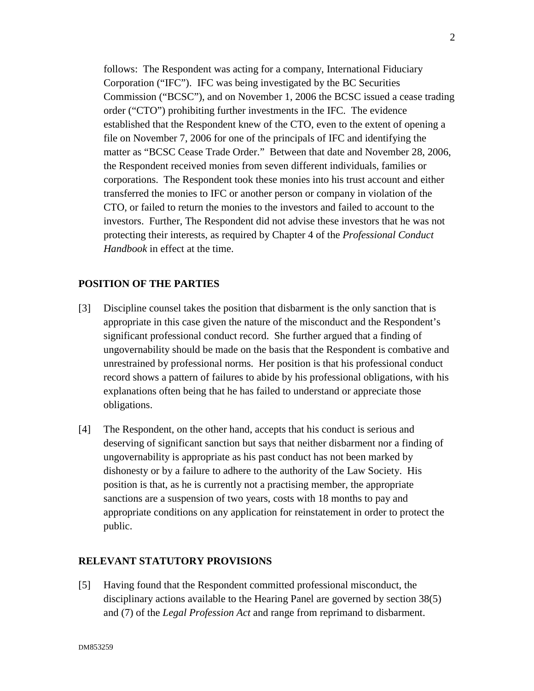follows: The Respondent was acting for a company, International Fiduciary Corporation ("IFC"). IFC was being investigated by the BC Securities Commission ("BCSC"), and on November 1, 2006 the BCSC issued a cease trading order ("CTO") prohibiting further investments in the IFC. The evidence established that the Respondent knew of the CTO, even to the extent of opening a file on November 7, 2006 for one of the principals of IFC and identifying the matter as "BCSC Cease Trade Order." Between that date and November 28, 2006, the Respondent received monies from seven different individuals, families or corporations. The Respondent took these monies into his trust account and either transferred the monies to IFC or another person or company in violation of the CTO, or failed to return the monies to the investors and failed to account to the investors. Further, The Respondent did not advise these investors that he was not protecting their interests, as required by Chapter 4 of the *Professional Conduct Handbook* in effect at the time.

## **POSITION OF THE PARTIES**

- [3] Discipline counsel takes the position that disbarment is the only sanction that is appropriate in this case given the nature of the misconduct and the Respondent's significant professional conduct record. She further argued that a finding of ungovernability should be made on the basis that the Respondent is combative and unrestrained by professional norms. Her position is that his professional conduct record shows a pattern of failures to abide by his professional obligations, with his explanations often being that he has failed to understand or appreciate those obligations.
- [4] The Respondent, on the other hand, accepts that his conduct is serious and deserving of significant sanction but says that neither disbarment nor a finding of ungovernability is appropriate as his past conduct has not been marked by dishonesty or by a failure to adhere to the authority of the Law Society. His position is that, as he is currently not a practising member, the appropriate sanctions are a suspension of two years, costs with 18 months to pay and appropriate conditions on any application for reinstatement in order to protect the public.

## **RELEVANT STATUTORY PROVISIONS**

[5] Having found that the Respondent committed professional misconduct, the disciplinary actions available to the Hearing Panel are governed by section 38(5) and (7) of the *Legal Profession Act* and range from reprimand to disbarment.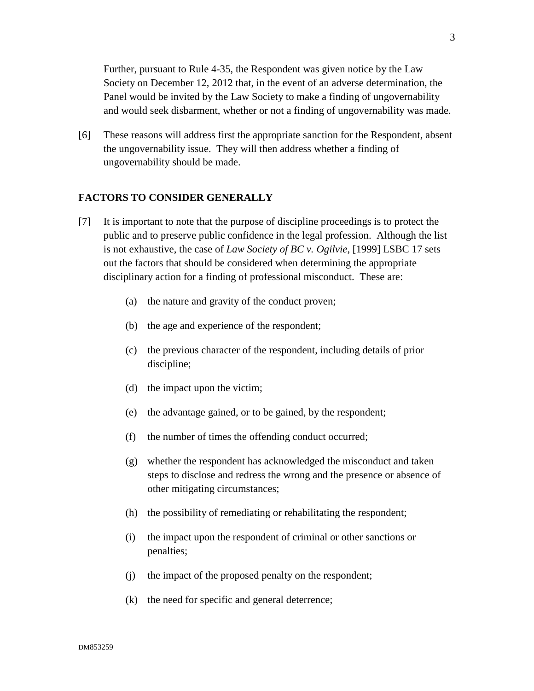Further, pursuant to Rule 4-35, the Respondent was given notice by the Law Society on December 12, 2012 that, in the event of an adverse determination, the Panel would be invited by the Law Society to make a finding of ungovernability and would seek disbarment, whether or not a finding of ungovernability was made.

[6] These reasons will address first the appropriate sanction for the Respondent, absent the ungovernability issue. They will then address whether a finding of ungovernability should be made.

## **FACTORS TO CONSIDER GENERALLY**

- [7] It is important to note that the purpose of discipline proceedings is to protect the public and to preserve public confidence in the legal profession. Although the list is not exhaustive, the case of *Law Society of BC v. Ogilvie*, [1999] LSBC 17 sets out the factors that should be considered when determining the appropriate disciplinary action for a finding of professional misconduct. These are:
	- (a) the nature and gravity of the conduct proven;
	- (b) the age and experience of the respondent;
	- (c) the previous character of the respondent, including details of prior discipline;
	- (d) the impact upon the victim;
	- (e) the advantage gained, or to be gained, by the respondent;
	- (f) the number of times the offending conduct occurred;
	- (g) whether the respondent has acknowledged the misconduct and taken steps to disclose and redress the wrong and the presence or absence of other mitigating circumstances;
	- (h) the possibility of remediating or rehabilitating the respondent;
	- (i) the impact upon the respondent of criminal or other sanctions or penalties;
	- (j) the impact of the proposed penalty on the respondent;
	- (k) the need for specific and general deterrence;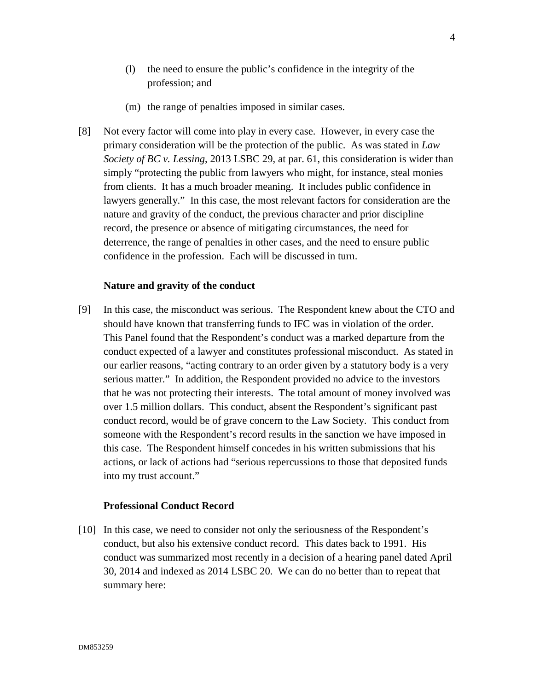- (l) the need to ensure the public's confidence in the integrity of the profession; and
- (m) the range of penalties imposed in similar cases.
- [8] Not every factor will come into play in every case. However, in every case the primary consideration will be the protection of the public. As was stated in *Law Society of BC v. Lessing*, 2013 LSBC 29, at par. 61, this consideration is wider than simply "protecting the public from lawyers who might, for instance, steal monies from clients. It has a much broader meaning. It includes public confidence in lawyers generally." In this case, the most relevant factors for consideration are the nature and gravity of the conduct, the previous character and prior discipline record, the presence or absence of mitigating circumstances, the need for deterrence, the range of penalties in other cases, and the need to ensure public confidence in the profession. Each will be discussed in turn.

#### **Nature and gravity of the conduct**

[9] In this case, the misconduct was serious. The Respondent knew about the CTO and should have known that transferring funds to IFC was in violation of the order. This Panel found that the Respondent's conduct was a marked departure from the conduct expected of a lawyer and constitutes professional misconduct. As stated in our earlier reasons, "acting contrary to an order given by a statutory body is a very serious matter." In addition, the Respondent provided no advice to the investors that he was not protecting their interests. The total amount of money involved was over 1.5 million dollars. This conduct, absent the Respondent's significant past conduct record, would be of grave concern to the Law Society. This conduct from someone with the Respondent's record results in the sanction we have imposed in this case. The Respondent himself concedes in his written submissions that his actions, or lack of actions had "serious repercussions to those that deposited funds into my trust account."

### **Professional Conduct Record**

[10] In this case, we need to consider not only the seriousness of the Respondent's conduct, but also his extensive conduct record. This dates back to 1991. His conduct was summarized most recently in a decision of a hearing panel dated April 30, 2014 and indexed as 2014 LSBC 20. We can do no better than to repeat that summary here: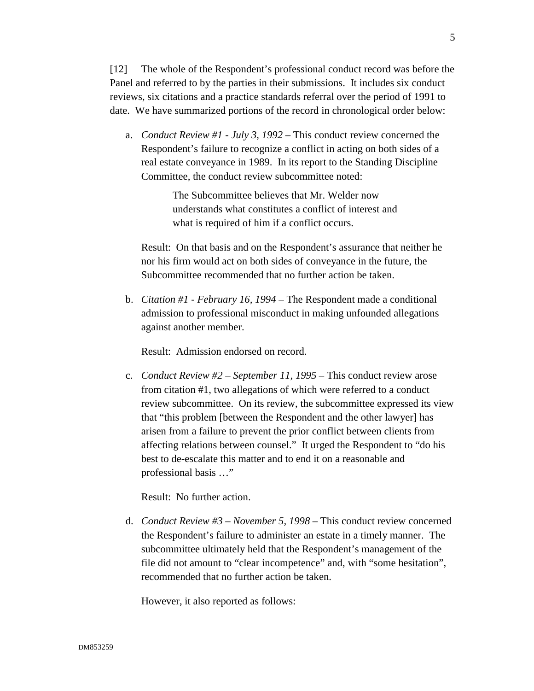[12] The whole of the Respondent's professional conduct record was before the Panel and referred to by the parties in their submissions. It includes six conduct reviews, six citations and a practice standards referral over the period of 1991 to date. We have summarized portions of the record in chronological order below:

a. *Conduct Review #1 - July 3, 1992* – This conduct review concerned the Respondent's failure to recognize a conflict in acting on both sides of a real estate conveyance in 1989. In its report to the Standing Discipline Committee, the conduct review subcommittee noted:

> The Subcommittee believes that Mr. Welder now understands what constitutes a conflict of interest and what is required of him if a conflict occurs.

Result: On that basis and on the Respondent's assurance that neither he nor his firm would act on both sides of conveyance in the future, the Subcommittee recommended that no further action be taken.

b. *Citation #1 - February 16, 1994* – The Respondent made a conditional admission to professional misconduct in making unfounded allegations against another member.

Result: Admission endorsed on record.

c. *Conduct Review #2 – September 11, 1995* – This conduct review arose from citation #1, two allegations of which were referred to a conduct review subcommittee. On its review, the subcommittee expressed its view that "this problem [between the Respondent and the other lawyer] has arisen from a failure to prevent the prior conflict between clients from affecting relations between counsel." It urged the Respondent to "do his best to de-escalate this matter and to end it on a reasonable and professional basis …"

Result: No further action.

d. *Conduct Review #3 – November 5, 1998* – This conduct review concerned the Respondent's failure to administer an estate in a timely manner. The subcommittee ultimately held that the Respondent's management of the file did not amount to "clear incompetence" and, with "some hesitation", recommended that no further action be taken.

However, it also reported as follows: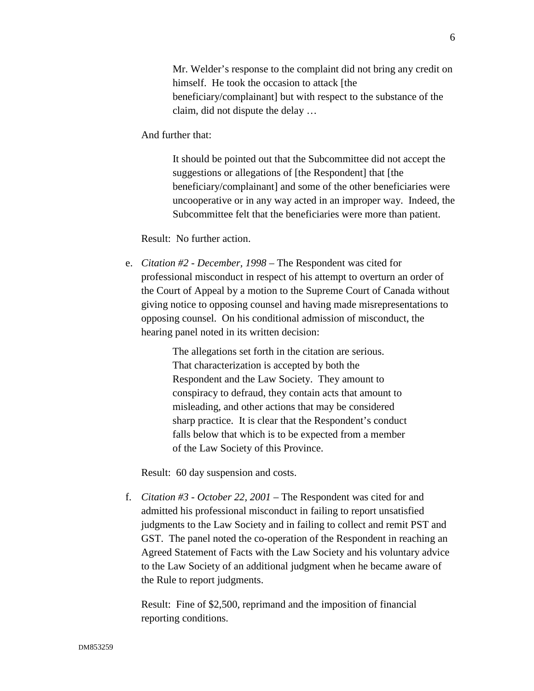Mr. Welder's response to the complaint did not bring any credit on himself. He took the occasion to attack [the beneficiary/complainant] but with respect to the substance of the claim, did not dispute the delay …

And further that:

It should be pointed out that the Subcommittee did not accept the suggestions or allegations of [the Respondent] that [the beneficiary/complainant] and some of the other beneficiaries were uncooperative or in any way acted in an improper way. Indeed, the Subcommittee felt that the beneficiaries were more than patient.

Result: No further action.

e. *Citation #2 - December, 1998* – The Respondent was cited for professional misconduct in respect of his attempt to overturn an order of the Court of Appeal by a motion to the Supreme Court of Canada without giving notice to opposing counsel and having made misrepresentations to opposing counsel. On his conditional admission of misconduct, the hearing panel noted in its written decision:

> The allegations set forth in the citation are serious. That characterization is accepted by both the Respondent and the Law Society. They amount to conspiracy to defraud, they contain acts that amount to misleading, and other actions that may be considered sharp practice. It is clear that the Respondent's conduct falls below that which is to be expected from a member of the Law Society of this Province.

Result: 60 day suspension and costs.

f. *Citation #3 - October 22, 2001* – The Respondent was cited for and admitted his professional misconduct in failing to report unsatisfied judgments to the Law Society and in failing to collect and remit PST and GST. The panel noted the co-operation of the Respondent in reaching an Agreed Statement of Facts with the Law Society and his voluntary advice to the Law Society of an additional judgment when he became aware of the Rule to report judgments.

Result: Fine of \$2,500, reprimand and the imposition of financial reporting conditions.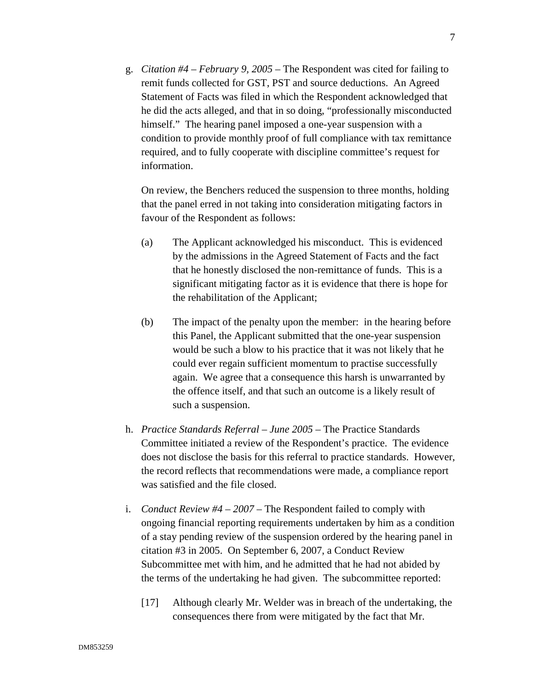g. *Citation #4 – February 9, 2005* – The Respondent was cited for failing to remit funds collected for GST, PST and source deductions. An Agreed Statement of Facts was filed in which the Respondent acknowledged that he did the acts alleged, and that in so doing, "professionally misconducted himself." The hearing panel imposed a one-year suspension with a condition to provide monthly proof of full compliance with tax remittance required, and to fully cooperate with discipline committee's request for information.

On review, the Benchers reduced the suspension to three months, holding that the panel erred in not taking into consideration mitigating factors in favour of the Respondent as follows:

- (a) The Applicant acknowledged his misconduct. This is evidenced by the admissions in the Agreed Statement of Facts and the fact that he honestly disclosed the non-remittance of funds. This is a significant mitigating factor as it is evidence that there is hope for the rehabilitation of the Applicant;
- (b) The impact of the penalty upon the member: in the hearing before this Panel, the Applicant submitted that the one-year suspension would be such a blow to his practice that it was not likely that he could ever regain sufficient momentum to practise successfully again. We agree that a consequence this harsh is unwarranted by the offence itself, and that such an outcome is a likely result of such a suspension.
- h. *Practice Standards Referral June 2005* The Practice Standards Committee initiated a review of the Respondent's practice. The evidence does not disclose the basis for this referral to practice standards. However, the record reflects that recommendations were made, a compliance report was satisfied and the file closed.
- i. *Conduct Review #4 2007* The Respondent failed to comply with ongoing financial reporting requirements undertaken by him as a condition of a stay pending review of the suspension ordered by the hearing panel in citation #3 in 2005. On September 6, 2007, a Conduct Review Subcommittee met with him, and he admitted that he had not abided by the terms of the undertaking he had given. The subcommittee reported:
	- [17] Although clearly Mr. Welder was in breach of the undertaking, the consequences there from were mitigated by the fact that Mr.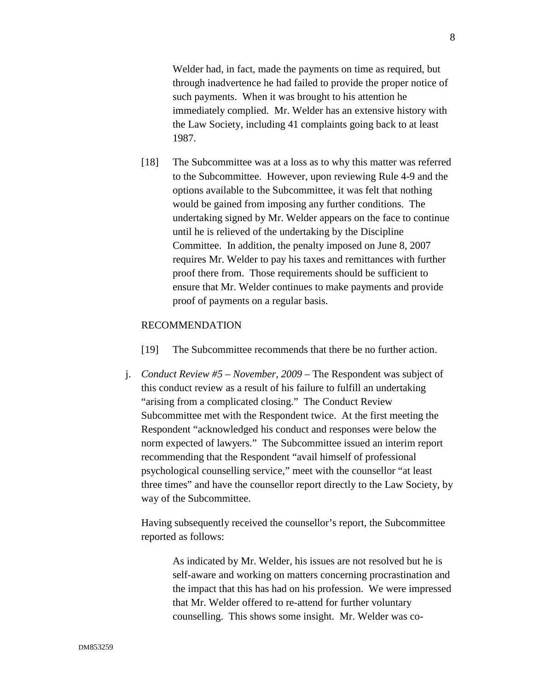Welder had, in fact, made the payments on time as required, but through inadvertence he had failed to provide the proper notice of such payments. When it was brought to his attention he immediately complied. Mr. Welder has an extensive history with the Law Society, including 41 complaints going back to at least 1987.

[18] The Subcommittee was at a loss as to why this matter was referred to the Subcommittee. However, upon reviewing Rule 4-9 and the options available to the Subcommittee, it was felt that nothing would be gained from imposing any further conditions. The undertaking signed by Mr. Welder appears on the face to continue until he is relieved of the undertaking by the Discipline Committee. In addition, the penalty imposed on June 8, 2007 requires Mr. Welder to pay his taxes and remittances with further proof there from. Those requirements should be sufficient to ensure that Mr. Welder continues to make payments and provide proof of payments on a regular basis.

#### RECOMMENDATION

- [19] The Subcommittee recommends that there be no further action.
- j. *Conduct Review #5 November, 2009* The Respondent was subject of this conduct review as a result of his failure to fulfill an undertaking "arising from a complicated closing." The Conduct Review Subcommittee met with the Respondent twice. At the first meeting the Respondent "acknowledged his conduct and responses were below the norm expected of lawyers." The Subcommittee issued an interim report recommending that the Respondent "avail himself of professional psychological counselling service," meet with the counsellor "at least three times" and have the counsellor report directly to the Law Society, by way of the Subcommittee.

Having subsequently received the counsellor's report, the Subcommittee reported as follows:

> As indicated by Mr. Welder, his issues are not resolved but he is self-aware and working on matters concerning procrastination and the impact that this has had on his profession. We were impressed that Mr. Welder offered to re-attend for further voluntary counselling. This shows some insight. Mr. Welder was co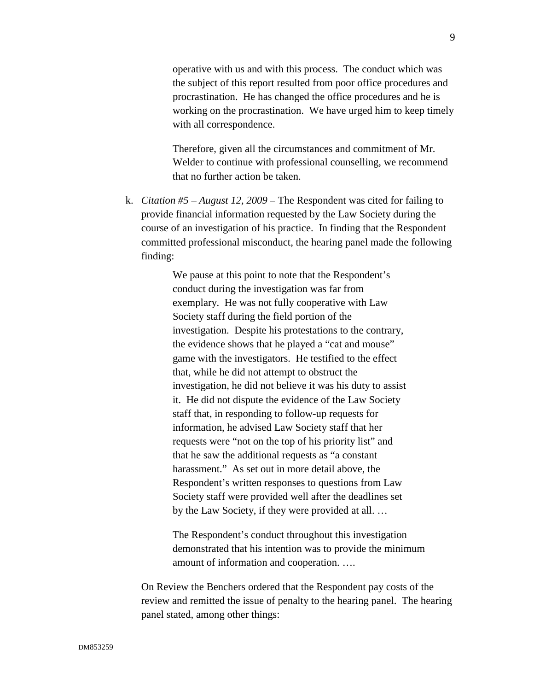operative with us and with this process. The conduct which was the subject of this report resulted from poor office procedures and procrastination. He has changed the office procedures and he is working on the procrastination. We have urged him to keep timely with all correspondence.

Therefore, given all the circumstances and commitment of Mr. Welder to continue with professional counselling, we recommend that no further action be taken.

k. *Citation #5 – August 12, 2009* – The Respondent was cited for failing to provide financial information requested by the Law Society during the course of an investigation of his practice. In finding that the Respondent committed professional misconduct, the hearing panel made the following finding:

> We pause at this point to note that the Respondent's conduct during the investigation was far from exemplary. He was not fully cooperative with Law Society staff during the field portion of the investigation. Despite his protestations to the contrary, the evidence shows that he played a "cat and mouse" game with the investigators. He testified to the effect that, while he did not attempt to obstruct the investigation, he did not believe it was his duty to assist it. He did not dispute the evidence of the Law Society staff that, in responding to follow-up requests for information, he advised Law Society staff that her requests were "not on the top of his priority list" and that he saw the additional requests as "a constant harassment." As set out in more detail above, the Respondent's written responses to questions from Law Society staff were provided well after the deadlines set by the Law Society, if they were provided at all. …

The Respondent's conduct throughout this investigation demonstrated that his intention was to provide the minimum amount of information and cooperation. ….

On Review the Benchers ordered that the Respondent pay costs of the review and remitted the issue of penalty to the hearing panel. The hearing panel stated, among other things: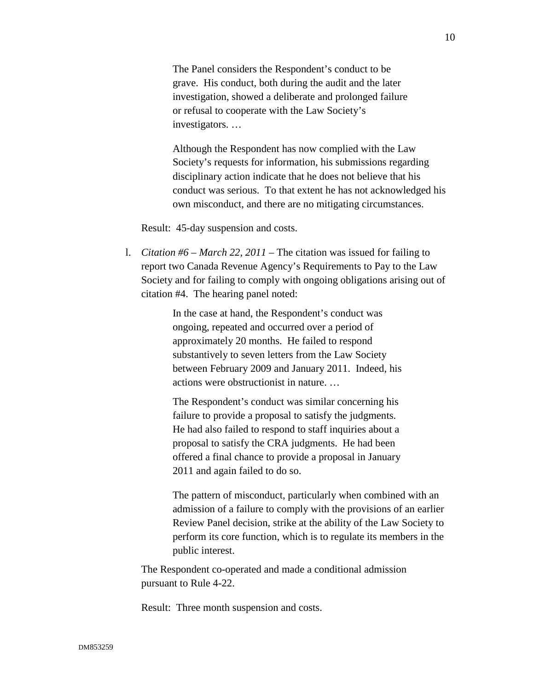The Panel considers the Respondent's conduct to be grave. His conduct, both during the audit and the later investigation, showed a deliberate and prolonged failure or refusal to cooperate with the Law Society's investigators. …

Although the Respondent has now complied with the Law Society's requests for information, his submissions regarding disciplinary action indicate that he does not believe that his conduct was serious. To that extent he has not acknowledged his own misconduct, and there are no mitigating circumstances.

Result: 45-day suspension and costs.

l. *Citation #6 – March 22, 2011* – The citation was issued for failing to report two Canada Revenue Agency's Requirements to Pay to the Law Society and for failing to comply with ongoing obligations arising out of citation #4. The hearing panel noted:

> In the case at hand, the Respondent's conduct was ongoing, repeated and occurred over a period of approximately 20 months. He failed to respond substantively to seven letters from the Law Society between February 2009 and January 2011. Indeed, his actions were obstructionist in nature. …

> The Respondent's conduct was similar concerning his failure to provide a proposal to satisfy the judgments. He had also failed to respond to staff inquiries about a proposal to satisfy the CRA judgments. He had been offered a final chance to provide a proposal in January 2011 and again failed to do so.

The pattern of misconduct, particularly when combined with an admission of a failure to comply with the provisions of an earlier Review Panel decision, strike at the ability of the Law Society to perform its core function, which is to regulate its members in the public interest.

The Respondent co-operated and made a conditional admission pursuant to Rule 4-22.

Result: Three month suspension and costs.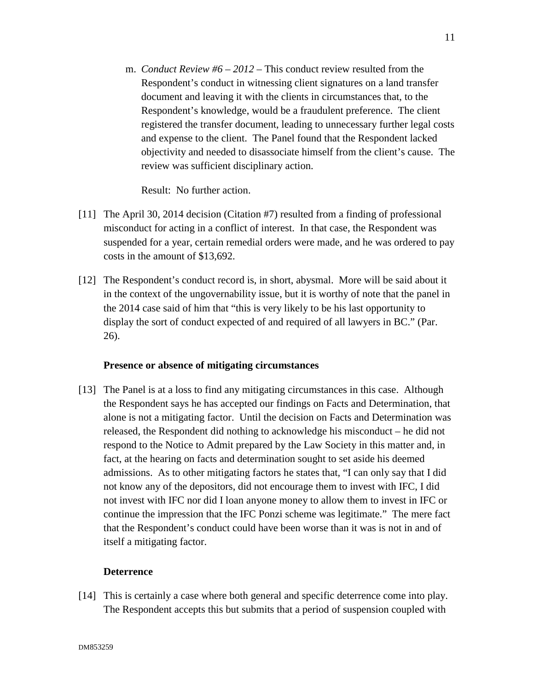m. *Conduct Review #6 – 2012* – This conduct review resulted from the Respondent's conduct in witnessing client signatures on a land transfer document and leaving it with the clients in circumstances that, to the Respondent's knowledge, would be a fraudulent preference. The client registered the transfer document, leading to unnecessary further legal costs and expense to the client. The Panel found that the Respondent lacked objectivity and needed to disassociate himself from the client's cause. The review was sufficient disciplinary action.

Result: No further action.

- [11] The April 30, 2014 decision (Citation #7) resulted from a finding of professional misconduct for acting in a conflict of interest. In that case, the Respondent was suspended for a year, certain remedial orders were made, and he was ordered to pay costs in the amount of \$13,692.
- [12] The Respondent's conduct record is, in short, abysmal. More will be said about it in the context of the ungovernability issue, but it is worthy of note that the panel in the 2014 case said of him that "this is very likely to be his last opportunity to display the sort of conduct expected of and required of all lawyers in BC." (Par. 26).

### **Presence or absence of mitigating circumstances**

[13] The Panel is at a loss to find any mitigating circumstances in this case. Although the Respondent says he has accepted our findings on Facts and Determination, that alone is not a mitigating factor. Until the decision on Facts and Determination was released, the Respondent did nothing to acknowledge his misconduct – he did not respond to the Notice to Admit prepared by the Law Society in this matter and, in fact, at the hearing on facts and determination sought to set aside his deemed admissions. As to other mitigating factors he states that, "I can only say that I did not know any of the depositors, did not encourage them to invest with IFC, I did not invest with IFC nor did I loan anyone money to allow them to invest in IFC or continue the impression that the IFC Ponzi scheme was legitimate." The mere fact that the Respondent's conduct could have been worse than it was is not in and of itself a mitigating factor.

## **Deterrence**

[14] This is certainly a case where both general and specific deterrence come into play. The Respondent accepts this but submits that a period of suspension coupled with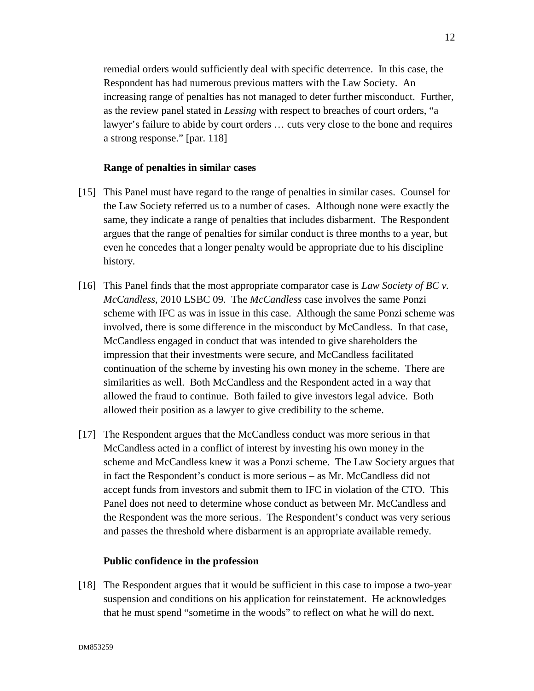remedial orders would sufficiently deal with specific deterrence. In this case, the Respondent has had numerous previous matters with the Law Society. An increasing range of penalties has not managed to deter further misconduct. Further, as the review panel stated in *Lessing* with respect to breaches of court orders, "a lawyer's failure to abide by court orders … cuts very close to the bone and requires a strong response." [par. 118]

### **Range of penalties in similar cases**

- [15] This Panel must have regard to the range of penalties in similar cases. Counsel for the Law Society referred us to a number of cases. Although none were exactly the same, they indicate a range of penalties that includes disbarment. The Respondent argues that the range of penalties for similar conduct is three months to a year, but even he concedes that a longer penalty would be appropriate due to his discipline history.
- [16] This Panel finds that the most appropriate comparator case is *Law Society of BC v. McCandless*, 2010 LSBC 09. The *McCandless* case involves the same Ponzi scheme with IFC as was in issue in this case. Although the same Ponzi scheme was involved, there is some difference in the misconduct by McCandless. In that case, McCandless engaged in conduct that was intended to give shareholders the impression that their investments were secure, and McCandless facilitated continuation of the scheme by investing his own money in the scheme. There are similarities as well. Both McCandless and the Respondent acted in a way that allowed the fraud to continue. Both failed to give investors legal advice. Both allowed their position as a lawyer to give credibility to the scheme.
- [17] The Respondent argues that the McCandless conduct was more serious in that McCandless acted in a conflict of interest by investing his own money in the scheme and McCandless knew it was a Ponzi scheme. The Law Society argues that in fact the Respondent's conduct is more serious – as Mr. McCandless did not accept funds from investors and submit them to IFC in violation of the CTO. This Panel does not need to determine whose conduct as between Mr. McCandless and the Respondent was the more serious. The Respondent's conduct was very serious and passes the threshold where disbarment is an appropriate available remedy.

#### **Public confidence in the profession**

[18] The Respondent argues that it would be sufficient in this case to impose a two-year suspension and conditions on his application for reinstatement. He acknowledges that he must spend "sometime in the woods" to reflect on what he will do next.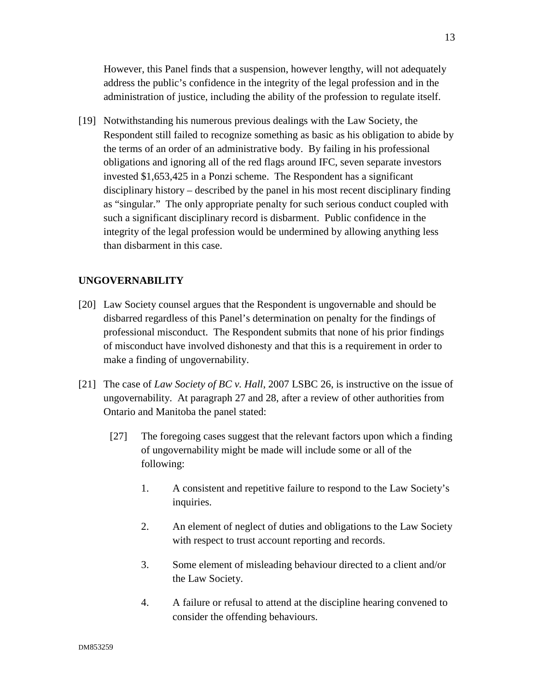However, this Panel finds that a suspension, however lengthy, will not adequately address the public's confidence in the integrity of the legal profession and in the administration of justice, including the ability of the profession to regulate itself.

[19] Notwithstanding his numerous previous dealings with the Law Society, the Respondent still failed to recognize something as basic as his obligation to abide by the terms of an order of an administrative body. By failing in his professional obligations and ignoring all of the red flags around IFC, seven separate investors invested \$1,653,425 in a Ponzi scheme. The Respondent has a significant disciplinary history – described by the panel in his most recent disciplinary finding as "singular." The only appropriate penalty for such serious conduct coupled with such a significant disciplinary record is disbarment. Public confidence in the integrity of the legal profession would be undermined by allowing anything less than disbarment in this case.

## **UNGOVERNABILITY**

- [20] Law Society counsel argues that the Respondent is ungovernable and should be disbarred regardless of this Panel's determination on penalty for the findings of professional misconduct. The Respondent submits that none of his prior findings of misconduct have involved dishonesty and that this is a requirement in order to make a finding of ungovernability.
- [21] The case of *Law Society of BC v. Hall*, 2007 LSBC 26, is instructive on the issue of ungovernability. At paragraph 27 and 28, after a review of other authorities from Ontario and Manitoba the panel stated:
	- [27] The foregoing cases suggest that the relevant factors upon which a finding of ungovernability might be made will include some or all of the following:
		- 1. A consistent and repetitive failure to respond to the Law Society's inquiries.
		- 2. An element of neglect of duties and obligations to the Law Society with respect to trust account reporting and records.
		- 3. Some element of misleading behaviour directed to a client and/or the Law Society.
		- 4. A failure or refusal to attend at the discipline hearing convened to consider the offending behaviours.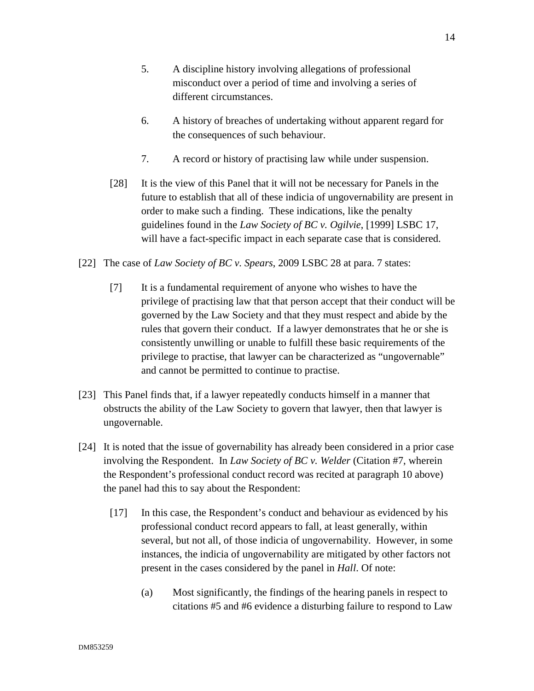- 5. A discipline history involving allegations of professional misconduct over a period of time and involving a series of different circumstances.
- 6. A history of breaches of undertaking without apparent regard for the consequences of such behaviour.
- 7. A record or history of practising law while under suspension.
- [28] It is the view of this Panel that it will not be necessary for Panels in the future to establish that all of these indicia of ungovernability are present in order to make such a finding. These indications, like the penalty guidelines found in the *Law Society of BC v. Ogilvie*, [1999] LSBC 17, will have a fact-specific impact in each separate case that is considered.
- [22] The case of *Law Society of BC v. Spears*, 2009 LSBC 28 at para. 7 states:
	- [7] It is a fundamental requirement of anyone who wishes to have the privilege of practising law that that person accept that their conduct will be governed by the Law Society and that they must respect and abide by the rules that govern their conduct. If a lawyer demonstrates that he or she is consistently unwilling or unable to fulfill these basic requirements of the privilege to practise, that lawyer can be characterized as "ungovernable" and cannot be permitted to continue to practise.
- [23] This Panel finds that, if a lawyer repeatedly conducts himself in a manner that obstructs the ability of the Law Society to govern that lawyer, then that lawyer is ungovernable.
- [24] It is noted that the issue of governability has already been considered in a prior case involving the Respondent. In *Law Society of BC v. Welder* (Citation #7, wherein the Respondent's professional conduct record was recited at paragraph 10 above) the panel had this to say about the Respondent:
	- [17] In this case, the Respondent's conduct and behaviour as evidenced by his professional conduct record appears to fall, at least generally, within several, but not all, of those indicia of ungovernability. However, in some instances, the indicia of ungovernability are mitigated by other factors not present in the cases considered by the panel in *Hall*. Of note:
		- (a) Most significantly, the findings of the hearing panels in respect to citations #5 and #6 evidence a disturbing failure to respond to Law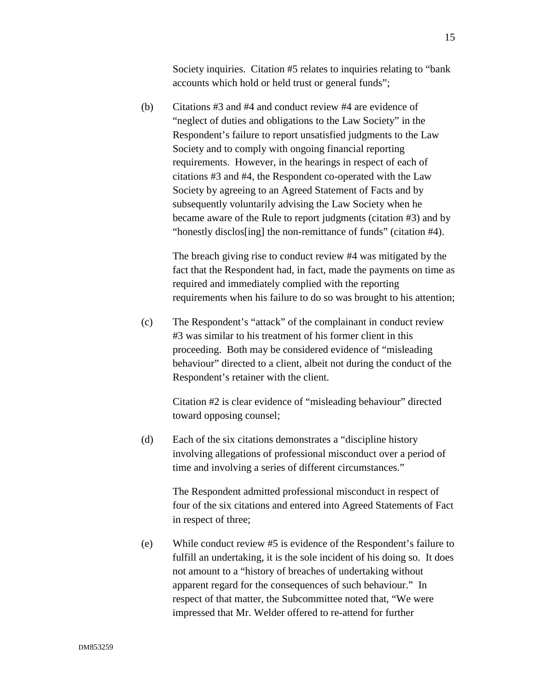Society inquiries. Citation #5 relates to inquiries relating to "bank accounts which hold or held trust or general funds";

(b) Citations #3 and #4 and conduct review #4 are evidence of "neglect of duties and obligations to the Law Society" in the Respondent's failure to report unsatisfied judgments to the Law Society and to comply with ongoing financial reporting requirements. However, in the hearings in respect of each of citations #3 and #4, the Respondent co-operated with the Law Society by agreeing to an Agreed Statement of Facts and by subsequently voluntarily advising the Law Society when he became aware of the Rule to report judgments (citation #3) and by "honestly disclos[ing] the non-remittance of funds" (citation #4).

> The breach giving rise to conduct review #4 was mitigated by the fact that the Respondent had, in fact, made the payments on time as required and immediately complied with the reporting requirements when his failure to do so was brought to his attention;

(c) The Respondent's "attack" of the complainant in conduct review #3 was similar to his treatment of his former client in this proceeding. Both may be considered evidence of "misleading behaviour" directed to a client, albeit not during the conduct of the Respondent's retainer with the client.

Citation #2 is clear evidence of "misleading behaviour" directed toward opposing counsel;

(d) Each of the six citations demonstrates a "discipline history involving allegations of professional misconduct over a period of time and involving a series of different circumstances."

> The Respondent admitted professional misconduct in respect of four of the six citations and entered into Agreed Statements of Fact in respect of three;

(e) While conduct review #5 is evidence of the Respondent's failure to fulfill an undertaking, it is the sole incident of his doing so. It does not amount to a "history of breaches of undertaking without apparent regard for the consequences of such behaviour." In respect of that matter, the Subcommittee noted that, "We were impressed that Mr. Welder offered to re-attend for further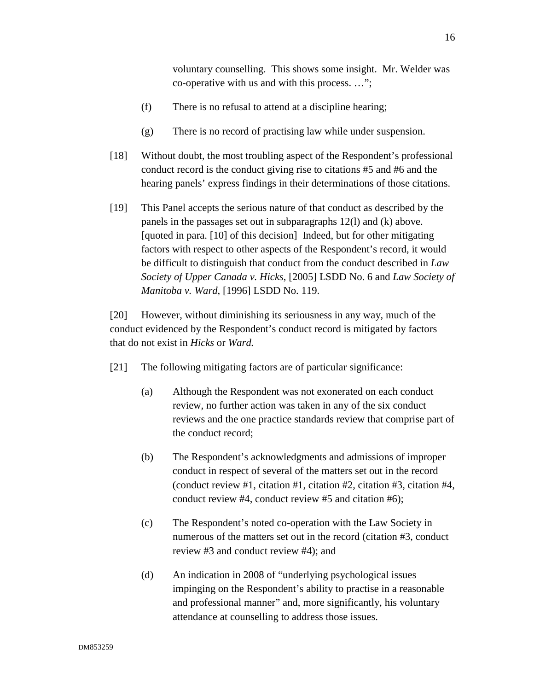voluntary counselling. This shows some insight. Mr. Welder was co-operative with us and with this process. …";

- (f) There is no refusal to attend at a discipline hearing;
- (g) There is no record of practising law while under suspension.
- [18] Without doubt, the most troubling aspect of the Respondent's professional conduct record is the conduct giving rise to citations #5 and #6 and the hearing panels' express findings in their determinations of those citations.
- [19] This Panel accepts the serious nature of that conduct as described by the panels in the passages set out in subparagraphs 12(l) and (k) above. [quoted in para. [10] of this decision] Indeed, but for other mitigating factors with respect to other aspects of the Respondent's record, it would be difficult to distinguish that conduct from the conduct described in *Law Society of Upper Canada v. Hicks*, [2005] LSDD No. 6 and *Law Society of Manitoba v. Ward*, [1996] LSDD No. 119.

[20] However, without diminishing its seriousness in any way, much of the conduct evidenced by the Respondent's conduct record is mitigated by factors that do not exist in *Hicks* or *Ward.* 

- [21] The following mitigating factors are of particular significance:
	- (a) Although the Respondent was not exonerated on each conduct review, no further action was taken in any of the six conduct reviews and the one practice standards review that comprise part of the conduct record;
	- (b) The Respondent's acknowledgments and admissions of improper conduct in respect of several of the matters set out in the record (conduct review #1, citation #1, citation #2, citation #3, citation #4, conduct review #4, conduct review #5 and citation #6);
	- (c) The Respondent's noted co-operation with the Law Society in numerous of the matters set out in the record (citation #3, conduct review #3 and conduct review #4); and
	- (d) An indication in 2008 of "underlying psychological issues impinging on the Respondent's ability to practise in a reasonable and professional manner" and, more significantly, his voluntary attendance at counselling to address those issues.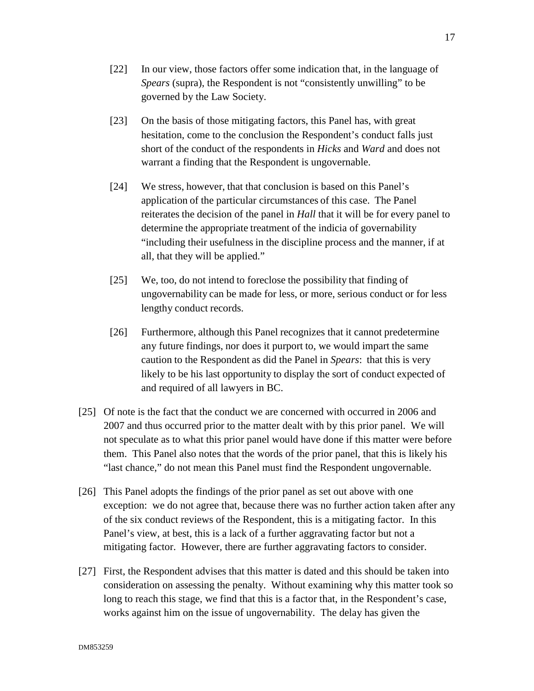- [22] In our view, those factors offer some indication that, in the language of *Spears* (supra), the Respondent is not "consistently unwilling" to be governed by the Law Society.
- [23] On the basis of those mitigating factors, this Panel has, with great hesitation, come to the conclusion the Respondent's conduct falls just short of the conduct of the respondents in *Hicks* and *Ward* and does not warrant a finding that the Respondent is ungovernable.
- [24] We stress, however, that that conclusion is based on this Panel's application of the particular circumstances of this case. The Panel reiterates the decision of the panel in *Hall* that it will be for every panel to determine the appropriate treatment of the indicia of governability "including their usefulness in the discipline process and the manner, if at all, that they will be applied."
- [25] We, too, do not intend to foreclose the possibility that finding of ungovernability can be made for less, or more, serious conduct or for less lengthy conduct records.
- [26] Furthermore, although this Panel recognizes that it cannot predetermine any future findings, nor does it purport to, we would impart the same caution to the Respondent as did the Panel in *Spears*: that this is very likely to be his last opportunity to display the sort of conduct expected of and required of all lawyers in BC.
- [25] Of note is the fact that the conduct we are concerned with occurred in 2006 and 2007 and thus occurred prior to the matter dealt with by this prior panel. We will not speculate as to what this prior panel would have done if this matter were before them. This Panel also notes that the words of the prior panel, that this is likely his "last chance," do not mean this Panel must find the Respondent ungovernable.
- [26] This Panel adopts the findings of the prior panel as set out above with one exception: we do not agree that, because there was no further action taken after any of the six conduct reviews of the Respondent, this is a mitigating factor. In this Panel's view, at best, this is a lack of a further aggravating factor but not a mitigating factor. However, there are further aggravating factors to consider.
- [27] First, the Respondent advises that this matter is dated and this should be taken into consideration on assessing the penalty. Without examining why this matter took so long to reach this stage, we find that this is a factor that, in the Respondent's case, works against him on the issue of ungovernability. The delay has given the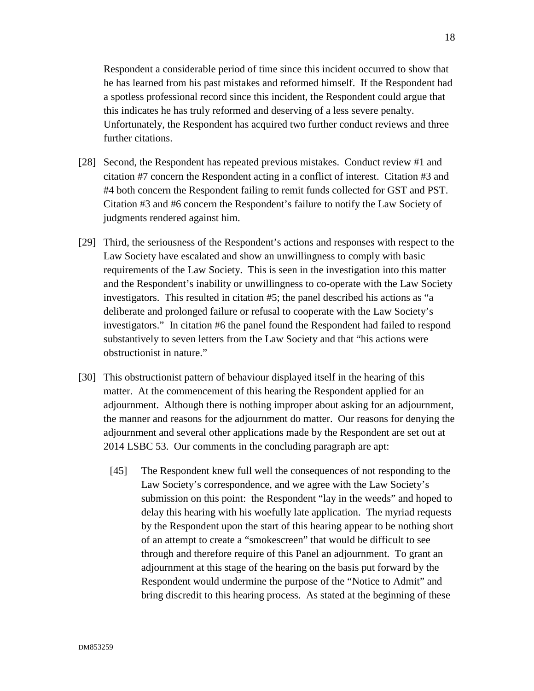Respondent a considerable period of time since this incident occurred to show that he has learned from his past mistakes and reformed himself. If the Respondent had a spotless professional record since this incident, the Respondent could argue that this indicates he has truly reformed and deserving of a less severe penalty. Unfortunately, the Respondent has acquired two further conduct reviews and three further citations.

- [28] Second, the Respondent has repeated previous mistakes. Conduct review #1 and citation #7 concern the Respondent acting in a conflict of interest. Citation #3 and #4 both concern the Respondent failing to remit funds collected for GST and PST. Citation #3 and #6 concern the Respondent's failure to notify the Law Society of judgments rendered against him.
- [29] Third, the seriousness of the Respondent's actions and responses with respect to the Law Society have escalated and show an unwillingness to comply with basic requirements of the Law Society. This is seen in the investigation into this matter and the Respondent's inability or unwillingness to co-operate with the Law Society investigators. This resulted in citation #5; the panel described his actions as "a deliberate and prolonged failure or refusal to cooperate with the Law Society's investigators." In citation #6 the panel found the Respondent had failed to respond substantively to seven letters from the Law Society and that "his actions were obstructionist in nature."
- [30] This obstructionist pattern of behaviour displayed itself in the hearing of this matter. At the commencement of this hearing the Respondent applied for an adjournment. Although there is nothing improper about asking for an adjournment, the manner and reasons for the adjournment do matter. Our reasons for denying the adjournment and several other applications made by the Respondent are set out at 2014 LSBC 53. Our comments in the concluding paragraph are apt:
	- [45] The Respondent knew full well the consequences of not responding to the Law Society's correspondence, and we agree with the Law Society's submission on this point: the Respondent "lay in the weeds" and hoped to delay this hearing with his woefully late application. The myriad requests by the Respondent upon the start of this hearing appear to be nothing short of an attempt to create a "smokescreen" that would be difficult to see through and therefore require of this Panel an adjournment. To grant an adjournment at this stage of the hearing on the basis put forward by the Respondent would undermine the purpose of the "Notice to Admit" and bring discredit to this hearing process. As stated at the beginning of these